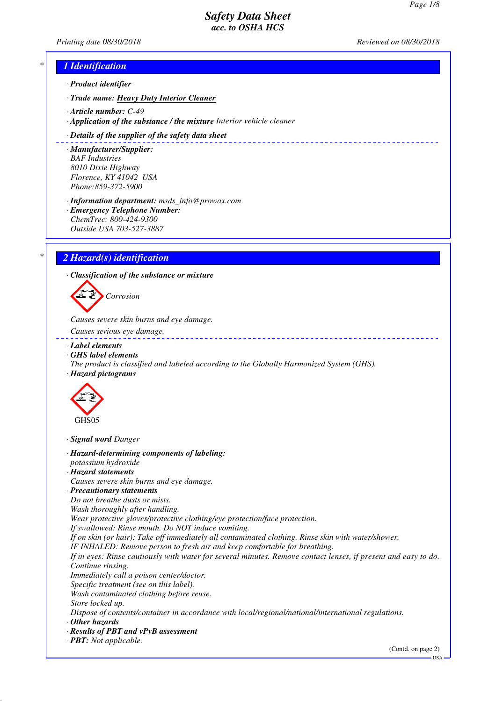*Printing date 08/30/2018 Reviewed on 08/30/2018*

\_\_\_\_\_\_\_\_\_\_\_\_\_\_\_\_\_\_\_\_\_\_\_\_\_\_

# *\* 1 Identification*

- *· Product identifier*
- *· Trade name: Heavy Duty Interior Cleaner*
- *· Article number: C-49*
- *· Application of the substance / the mixture Interior vehicle cleaner*

#### *· Details of the supplier of the safety data sheet*

- *· Manufacturer/Supplier: BAF Industries 8010 Dixie Highway Florence, KY 41042 USA Phone:859-372-5900*
- *· Information department: msds\_info@prowax.com*
- *· Emergency Telephone Number: ChemTrec: 800-424-9300 Outside USA 703-527-3887*

# *\* 2 Hazard(s) identification*

*· Classification of the substance or mixture*



*Causes severe skin burns and eye damage.* 

- *Causes serious eye damage.*
- *· Label elements*
- *· GHS label elements*
- *The product is classified and labeled according to the Globally Harmonized System (GHS).*
- *· Hazard pictograms*



*· Signal word Danger*

- *· Hazard-determining components of labeling: potassium hydroxide*
- *· Hazard statements*
- *Causes severe skin burns and eye damage.*
- *· Precautionary statements*
- *Do not breathe dusts or mists.*
- *Wash thoroughly after handling.*

*Wear protective gloves/protective clothing/eye protection/face protection.*

*If swallowed: Rinse mouth. Do NOT induce vomiting.*

*If on skin (or hair): Take off immediately all contaminated clothing. Rinse skin with water/shower.*

*IF INHALED: Remove person to fresh air and keep comfortable for breathing.*

*If in eyes: Rinse cautiously with water for several minutes. Remove contact lenses, if present and easy to do. Continue rinsing.*

- *Immediately call a poison center/doctor.*
- *Specific treatment (see on this label).*

*Wash contaminated clothing before reuse.*

*Store locked up.*

*Dispose of contents/container in accordance with local/regional/national/international regulations.*

- *· Other hazards*
- *· Results of PBT and vPvB assessment*
- *· PBT: Not applicable.*

(Contd. on page 2)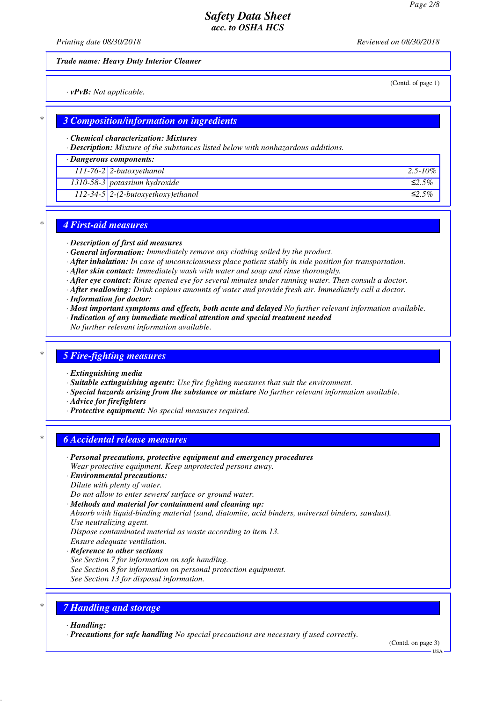*Printing date 08/30/2018 Reviewed on 08/30/2018*

*Trade name: Heavy Duty Interior Cleaner*

*· vPvB: Not applicable.*

(Contd. of page 1)

### *\* 3 Composition/information on ingredients*

*· Chemical characterization: Mixtures*

*· Description: Mixture of the substances listed below with nonhazardous additions.*

*· Dangerous components:*

| $111-76-2$ 2-butoxyethanol               | $12.5 - 10\%$ |
|------------------------------------------|---------------|
| 1310-58-3 potassium hydroxide            | ≤2.5%         |
| $112 - 34 - 5$ 2-(2-butoxyethoxy)ethanol | ≤2.5%         |

### *\* 4 First-aid measures*

*· Description of first aid measures*

- *· General information: Immediately remove any clothing soiled by the product.*
- *· After inhalation: In case of unconsciousness place patient stably in side position for transportation.*
- *· After skin contact: Immediately wash with water and soap and rinse thoroughly.*
- *· After eye contact: Rinse opened eye for several minutes under running water. Then consult a doctor.*
- *· After swallowing: Drink copious amounts of water and provide fresh air. Immediately call a doctor.*
- *· Information for doctor:*
- *· Most important symptoms and effects, both acute and delayed No further relevant information available.*
- *· Indication of any immediate medical attention and special treatment needed*

*No further relevant information available.*

### *\* 5 Fire-fighting measures*

- *· Extinguishing media*
- *· Suitable extinguishing agents: Use fire fighting measures that suit the environment.*
- *· Special hazards arising from the substance or mixture No further relevant information available.*
- *· Advice for firefighters*
- *· Protective equipment: No special measures required.*

### *\* 6 Accidental release measures*

- *· Personal precautions, protective equipment and emergency procedures Wear protective equipment. Keep unprotected persons away.*
- *· Environmental precautions:*
- *Dilute with plenty of water.*
- *Do not allow to enter sewers/ surface or ground water.*
- *· Methods and material for containment and cleaning up:*
- *Absorb with liquid-binding material (sand, diatomite, acid binders, universal binders, sawdust). Use neutralizing agent.*
- *Dispose contaminated material as waste according to item 13.*
- *Ensure adequate ventilation.*

### *· Reference to other sections*

- *See Section 7 for information on safe handling.*
- *See Section 8 for information on personal protection equipment.*
- *See Section 13 for disposal information.*

# *\* 7 Handling and storage*

*· Handling:*

*· Precautions for safe handling No special precautions are necessary if used correctly.*

(Contd. on page 3)

USA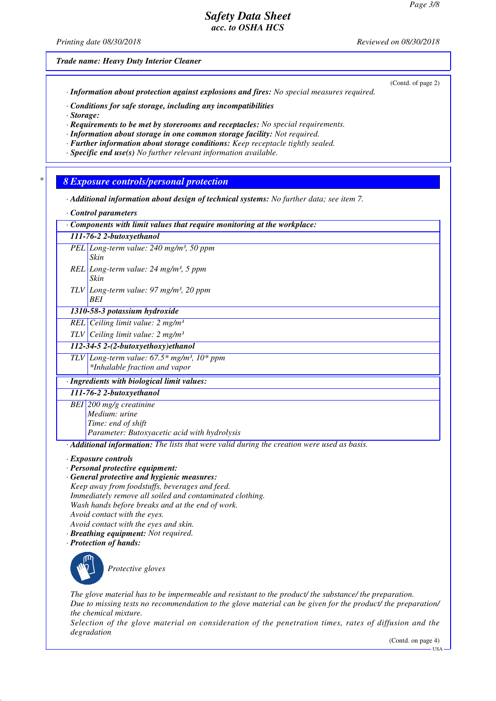*Printing date 08/30/2018 Reviewed on 08/30/2018*

(Contd. of page 2)

*Trade name: Heavy Duty Interior Cleaner*

*· Information about protection against explosions and fires: No special measures required.*

*· Conditions for safe storage, including any incompatibilities*

*· Storage:*

*· Requirements to be met by storerooms and receptacles: No special requirements.*

*· Information about storage in one common storage facility: Not required.*

*· Further information about storage conditions: Keep receptacle tightly sealed.*

*· Specific end use(s) No further relevant information available.*

*\* 8 Exposure controls/personal protection*

*· Additional information about design of technical systems: No further data; see item 7.*

*· Control parameters*

*· Components with limit values that require monitoring at the workplace:*

|  | 111-76-2 2-butoxyethanol                                    |
|--|-------------------------------------------------------------|
|  | PEL Long-term value: 240 mg/m <sup>3</sup> , 50 ppm<br>Skin |
|  |                                                             |

- *REL Long-term value: 24 mg/m³, 5 ppm Skin*
- *TLV Long-term value: 97 mg/m³, 20 ppm BEI*

*1310-58-3 potassium hydroxide*

*REL Ceiling limit value: 2 mg/m³*

*TLV Ceiling limit value: 2 mg/m³*

*112-34-5 2-(2-butoxyethoxy)ethanol*

*TLV Long-term value: 67.5\* mg/m³, 10\* ppm \*Inhalable fraction and vapor*

*· Ingredients with biological limit values:*

*111-76-2 2-butoxyethanol BEI 200 mg/g creatinine*

*Medium: urine Time: end of shift*

*Parameter: Butoxyacetic acid with hydrolysis*

*· Additional information: The lists that were valid during the creation were used as basis.*

*· Exposure controls*

- *· Personal protective equipment:*
- *· General protective and hygienic measures:*

*Keep away from foodstuffs, beverages and feed. Immediately remove all soiled and contaminated clothing. Wash hands before breaks and at the end of work.*

*Avoid contact with the eyes.*

- *Avoid contact with the eyes and skin.*
- *· Breathing equipment: Not required.*

*· Protection of hands:*



*The glove material has to be impermeable and resistant to the product/ the substance/ the preparation. Due to missing tests no recommendation to the glove material can be given for the product/ the preparation/ the chemical mixture.*

*Selection of the glove material on consideration of the penetration times, rates of diffusion and the degradation*

(Contd. on page 4)

USA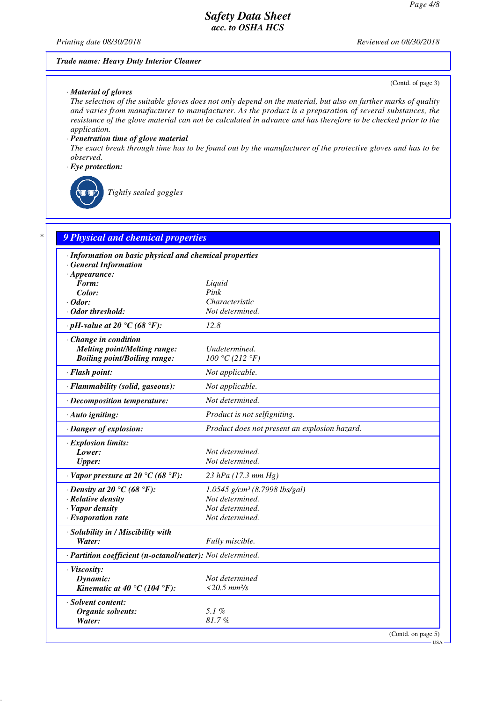*Printing date 08/30/2018 Reviewed on 08/30/2018*

#### *Trade name: Heavy Duty Interior Cleaner*

#### *· Material of gloves*

(Contd. of page 3)

USA

*The selection of the suitable gloves does not only depend on the material, but also on further marks of quality and varies from manufacturer to manufacturer. As the product is a preparation of several substances, the resistance of the glove material can not be calculated in advance and has therefore to be checked prior to the application.*

#### *· Penetration time of glove material*

*The exact break through time has to be found out by the manufacturer of the protective gloves and has to be observed.*

#### *· Eye protection:*



*Tightly sealed goggles*

| · Information on basic physical and chemical properties    |                                               |
|------------------------------------------------------------|-----------------------------------------------|
| <b>General Information</b>                                 |                                               |
| $\cdot$ Appearance:<br>Form:                               |                                               |
| Color:                                                     | Liquid<br>Pink                                |
| $\cdot$ Odor:                                              | Characteristic                                |
| · Odor threshold:                                          | Not determined.                               |
| $\cdot$ pH-value at 20 °C (68 °F):                         | 12.8                                          |
| Change in condition                                        |                                               |
| <b>Melting point/Melting range:</b>                        | Undetermined.                                 |
| <b>Boiling point/Boiling range:</b>                        | 100 °C (212 °F)                               |
| · Flash point:                                             | Not applicable.                               |
| · Flammability (solid, gaseous):                           | Not applicable.                               |
| · Decomposition temperature:                               | Not determined.                               |
| $\cdot$ Auto igniting:                                     | Product is not selfigniting.                  |
| · Danger of explosion:                                     | Product does not present an explosion hazard. |
| $\cdot$ Explosion limits:                                  |                                               |
| Lower:                                                     | Not determined.                               |
| <b>Upper:</b>                                              | Not determined.                               |
| $\cdot$ Vapor pressure at 20 °C (68 °F):                   | 23 hPa (17.3 mm Hg)                           |
| $\cdot$ Density at 20 °C (68 °F):                          | 1.0545 g/cm <sup>3</sup> (8.7998 lbs/gal)     |
| $\cdot$ Relative density                                   | Not determined.                               |
| · Vapor density                                            | Not determined.                               |
| $\cdot$ Evaporation rate                                   | Not determined.                               |
| · Solubility in / Miscibility with                         |                                               |
| Water:                                                     | Fully miscible.                               |
| · Partition coefficient (n-octanol/water): Not determined. |                                               |
| · Viscosity:                                               |                                               |
| Dynamic:                                                   | Not determined                                |
| Kinematic at 40 °C (104 °F):                               | $<$ 20.5 mm <sup>2</sup> /s                   |
| · Solvent content:                                         |                                               |
| Organic solvents:                                          | 5.1%                                          |
| Water:                                                     | 81.7%                                         |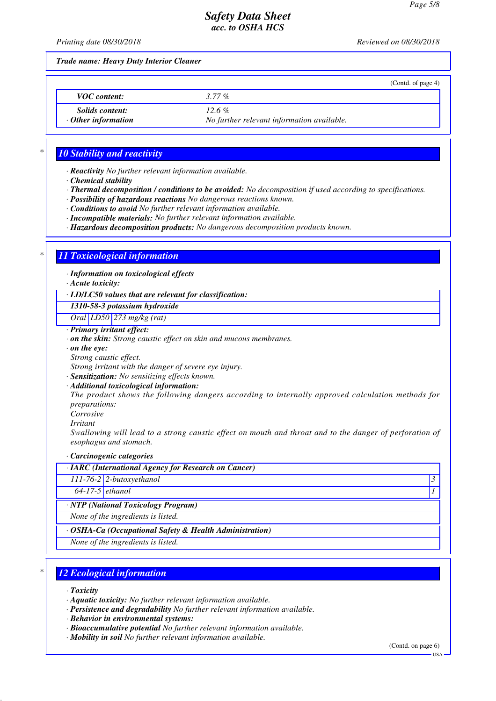*Printing date 08/30/2018 Reviewed on 08/30/2018*

*Trade name: Heavy Duty Interior Cleaner*

|                                                     | (Contd. of page 4)                                     |
|-----------------------------------------------------|--------------------------------------------------------|
| <b>VOC</b> content:                                 | $3.77\%$                                               |
| <i>Solids content:</i><br>$\cdot$ Other information | $12.6\%$<br>No further relevant information available. |

## *\* 10 Stability and reactivity*

*· Reactivity No further relevant information available.*

- *· Chemical stability*
- *· Thermal decomposition / conditions to be avoided: No decomposition if used according to specifications.*
- *· Possibility of hazardous reactions No dangerous reactions known.*
- *· Conditions to avoid No further relevant information available.*
- *· Incompatible materials: No further relevant information available.*
- *· Hazardous decomposition products: No dangerous decomposition products known.*

# *\* 11 Toxicological information*

*· Information on toxicological effects*

*· Acute toxicity:*

*· LD/LC50 values that are relevant for classification:*

*1310-58-3 potassium hydroxide*

*Oral LD50 273 mg/kg (rat)*

- *· Primary irritant effect:*
- *· on the skin: Strong caustic effect on skin and mucous membranes.*
- *· on the eye:*
- *Strong caustic effect.*

*Strong irritant with the danger of severe eye injury.*

- *· Sensitization: No sensitizing effects known.*
- *· Additional toxicological information:*

*The product shows the following dangers according to internally approved calculation methods for preparations:*

*Corrosive Irritant*

*Swallowing will lead to a strong caustic effect on mouth and throat and to the danger of perforation of esophagus and stomach.*

*· Carcinogenic categories*

| $\cdot$ IARC (International Agency for Research on Cancer)    |                                   |  |
|---------------------------------------------------------------|-----------------------------------|--|
|                                                               | $111-76-2$ 2-butoxyethanol        |  |
| $64-17-5$ ethanol                                             |                                   |  |
| · NTP (National Toxicology Program)                           |                                   |  |
| None of the ingredients is listed.                            |                                   |  |
| $\cdot$ OSHA-Ca (Occupational Safety & Health Administration) |                                   |  |
|                                                               | Mana af tha inanadianta is listed |  |

*None of the ingredients is listed.*

# *\* 12 Ecological information*

*· Toxicity*

- *· Aquatic toxicity: No further relevant information available.*
- *· Persistence and degradability No further relevant information available.*

*· Behavior in environmental systems:*

- *· Bioaccumulative potential No further relevant information available.*
- *· Mobility in soil No further relevant information available.*

(Contd. on page 6)

USA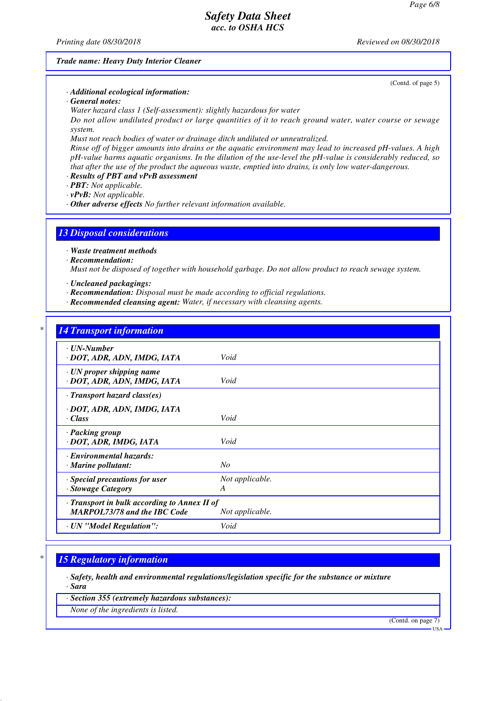*Printing date 08/30/2018 Reviewed on 08/30/2018*

(Contd. of page 5)

#### *Trade name: Heavy Duty Interior Cleaner*

*· Additional ecological information:*

*· General notes:*

*Water hazard class 1 (Self-assessment): slightly hazardous for water*

*Do not allow undiluted product or large quantities of it to reach ground water, water course or sewage system.*

*Must not reach bodies of water or drainage ditch undiluted or unneutralized.*

*Rinse off of bigger amounts into drains or the aquatic environment may lead to increased pH-values. A high pH-value harms aquatic organisms. In the dilution of the use-level the pH-value is considerably reduced, so that after the use of the product the aqueous waste, emptied into drains, is only low water-dangerous.*

*· Results of PBT and vPvB assessment*

*· PBT: Not applicable.*

*· vPvB: Not applicable.*

*· Other adverse effects No further relevant information available.*

# *13 Disposal considerations*

*· Waste treatment methods*

- *· Recommendation: Must not be disposed of together with household garbage. Do not allow product to reach sewage system.*
- *· Uncleaned packagings:*
- *· Recommendation: Disposal must be made according to official regulations.*
- *· Recommended cleansing agent: Water, if necessary with cleansing agents.*

### *\* 14 Transport information*

| <u>11.000 port 0.000 methods</u>                                                          |                 |
|-------------------------------------------------------------------------------------------|-----------------|
| $\cdot$ UN-Number<br>· DOT, ADR, ADN, IMDG, IATA                                          | Void            |
| $\cdot$ UN proper shipping name<br>· DOT, ADR, ADN, IMDG, IATA                            | Void            |
| $\cdot$ Transport hazard class(es)                                                        |                 |
| · DOT, ADR, ADN, IMDG, IATA                                                               |                 |
| · Class                                                                                   | Void            |
| · Packing group<br>· DOT, ADR, IMDG, IATA                                                 | Void            |
| · Environmental hazards:<br>$\cdot$ Marine pollutant:                                     | $N_{O}$         |
| Special precautions for user                                                              | Not applicable. |
| · Stowage Category                                                                        | A               |
| $\cdot$ Transport in bulk according to Annex II of<br><b>MARPOL73/78 and the IBC Code</b> | Not applicable. |
| · UN "Model Regulation":                                                                  | Void            |

### *\* 15 Regulatory information*

*· Safety, health and environmental regulations/legislation specific for the substance or mixture*

*· Sara · Section 355 (extremely hazardous substances):*

*None of the ingredients is listed.*

(Contd. on page 7)

USA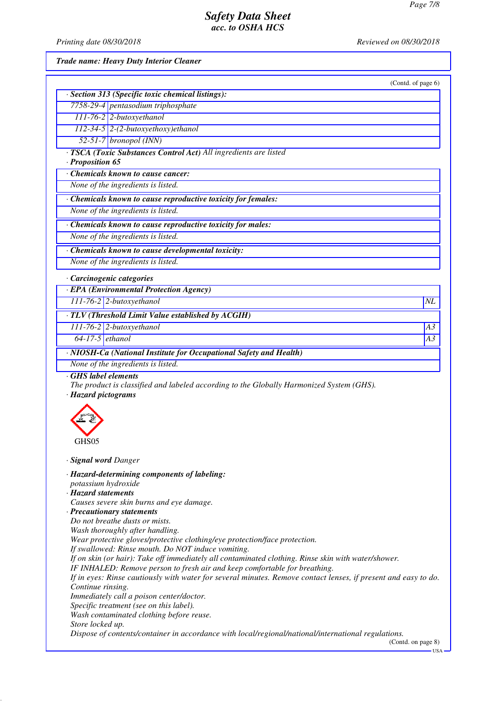*Printing date 08/30/2018 Reviewed on 08/30/2018*

*Trade name: Heavy Duty Interior Cleaner*

|                                                                                                                                                                                   | (Contd. of page 6) |
|-----------------------------------------------------------------------------------------------------------------------------------------------------------------------------------|--------------------|
| · Section 313 (Specific toxic chemical listings):                                                                                                                                 |                    |
| 7758-29-4 pentasodium triphosphate                                                                                                                                                |                    |
| $111-76-2$ 2-butoxyethanol                                                                                                                                                        |                    |
| $112-34-5$ 2-(2-butoxyethoxy)ethanol                                                                                                                                              |                    |
| $52-51-7$ bronopol (INN)                                                                                                                                                          |                    |
| · TSCA (Toxic Substances Control Act) All ingredients are listed<br>· Proposition 65                                                                                              |                    |
| Chemicals known to cause cancer:                                                                                                                                                  |                    |
| None of the ingredients is listed.                                                                                                                                                |                    |
| · Chemicals known to cause reproductive toxicity for females:                                                                                                                     |                    |
| None of the ingredients is listed.                                                                                                                                                |                    |
| · Chemicals known to cause reproductive toxicity for males:                                                                                                                       |                    |
| None of the ingredients is listed.                                                                                                                                                |                    |
|                                                                                                                                                                                   |                    |
| Chemicals known to cause developmental toxicity:                                                                                                                                  |                    |
| None of the ingredients is listed.                                                                                                                                                |                    |
| · Carcinogenic categories                                                                                                                                                         |                    |
| · EPA (Environmental Protection Agency)                                                                                                                                           |                    |
| $111-76-2$ 2-butoxyethanol                                                                                                                                                        | NL                 |
| · TLV (Threshold Limit Value established by ACGIH)                                                                                                                                |                    |
| 111-76-2 2-butoxyethanol                                                                                                                                                          | A3                 |
| $64-17-5$ ethanol                                                                                                                                                                 | A3                 |
|                                                                                                                                                                                   |                    |
| · NIOSH-Ca (National Institute for Occupational Safety and Health)                                                                                                                |                    |
| None of the ingredients is listed.                                                                                                                                                |                    |
| GHS label elements<br>The product is classified and labeled according to the Globally Harmonized System (GHS).<br>· Hazard pictograms                                             |                    |
| GHS05                                                                                                                                                                             |                    |
| · Signal word Danger                                                                                                                                                              |                    |
| · Hazard-determining components of labeling:                                                                                                                                      |                    |
| potassium hydroxide                                                                                                                                                               |                    |
| · Hazard statements<br>Causes severe skin burns and eye damage.                                                                                                                   |                    |
| · Precautionary statements                                                                                                                                                        |                    |
| Do not breathe dusts or mists.                                                                                                                                                    |                    |
| Wash thoroughly after handling.                                                                                                                                                   |                    |
| Wear protective gloves/protective clothing/eye protection/face protection.                                                                                                        |                    |
| If swallowed: Rinse mouth. Do NOT induce vomiting.                                                                                                                                |                    |
| If on skin (or hair): Take off immediately all contaminated clothing. Rinse skin with water/shower.<br>IF INHALED: Remove person to fresh air and keep comfortable for breathing. |                    |
| If in eyes: Rinse cautiously with water for several minutes. Remove contact lenses, if present and easy to do.                                                                    |                    |
| Continue rinsing.<br>Immediately call a poison center/doctor.                                                                                                                     |                    |
| Specific treatment (see on this label).                                                                                                                                           |                    |
| Wash contaminated clothing before reuse.                                                                                                                                          |                    |
| Store locked up.                                                                                                                                                                  |                    |
| Dispose of contents/container in accordance with local/regional/national/international regulations.                                                                               | (Contd. on page 8) |

USA